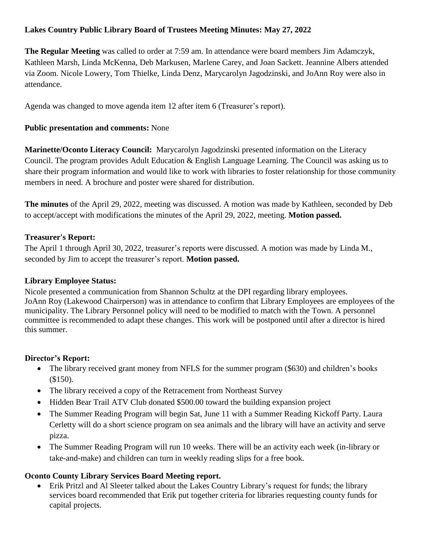# **Lakes Country Public Library Board of Trustees Meeting Minutes: May 27, 2022**

**The Regular Meeting** was called to order at 7:59 am. In attendance were board members Jim Adamczyk, Kathleen Marsh, Linda McKenna, Deb Markusen, Marlene Carey, and Joan Sackett. Jeannine Albers attended via Zoom. Nicole Lowery, Tom Thielke, Linda Denz, Marycarolyn Jagodzinski, and JoAnn Roy were also in attendance.

Agenda was changed to move agenda item 12 after item 6 (Treasurer's report).

### **Public presentation and comments:** None

**Marinette/Oconto Literacy Council:** Marycarolyn Jagodzinski presented information on the Literacy Council. The program provides Adult Education & English Language Learning. The Council was asking us to share their program information and would like to work with libraries to foster relationship for those community members in need. A brochure and poster were shared for distribution.

**The minutes** of the April 29, 2022, meeting was discussed. A motion was made by Kathleen, seconded by Deb to accept/accept with modifications the minutes of the April 29, 2022, meeting. **Motion passed.**

#### **Treasurer's Report:**

The April 1 through April 30, 2022, treasurer's reports were discussed. A motion was made by Linda M., seconded by Jim to accept the treasurer's report. **Motion passed.**

## **Library Employee Status:**

Nicole presented a communication from Shannon Schultz at the DPI regarding library employees. JoAnn Roy (Lakewood Chairperson) was in attendance to confirm that Library Employees are employees of the municipality. The Library Personnel policy will need to be modified to match with the Town. A personnel committee is recommended to adapt these changes. This work will be postponed until after a director is hired this summer.

## **Director's Report:**

- The library received grant money from NFLS for the summer program (\$630) and children's books (\$150).
- The library received a copy of the Retracement from Northeast Survey
- Hidden Bear Trail ATV Club donated \$500.00 toward the building expansion project
- The Summer Reading Program will begin Sat, June 11 with a Summer Reading Kickoff Party. Laura Cerletty will do a short science program on sea animals and the library will have an activity and serve pizza.
- The Summer Reading Program will run 10 weeks. There will be an activity each week (in-library or take-and-make) and children can turn in weekly reading slips for a free book.

## **Oconto County Library Services Board Meeting report.**

 Erik Pritzl and Al Sleeter talked about the Lakes Country Library's request for funds; the library services board recommended that Erik put together criteria for libraries requesting county funds for capital projects.